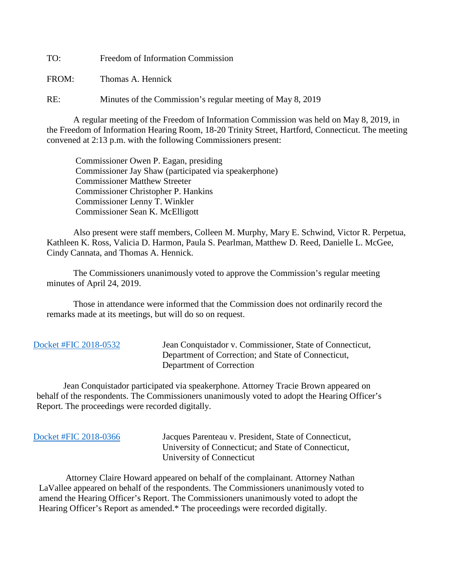TO: Freedom of Information Commission

FROM: Thomas A. Hennick

RE: Minutes of the Commission's regular meeting of May 8, 2019

A regular meeting of the Freedom of Information Commission was held on May 8, 2019, in the Freedom of Information Hearing Room, 18-20 Trinity Street, Hartford, Connecticut. The meeting convened at 2:13 p.m. with the following Commissioners present:

 Commissioner Owen P. Eagan, presiding Commissioner Jay Shaw (participated via speakerphone) Commissioner Matthew Streeter Commissioner Christopher P. Hankins Commissioner Lenny T. Winkler Commissioner Sean K. McElligott

 Also present were staff members, Colleen M. Murphy, Mary E. Schwind, Victor R. Perpetua, Kathleen K. Ross, Valicia D. Harmon, Paula S. Pearlman, Matthew D. Reed, Danielle L. McGee, Cindy Cannata, and Thomas A. Hennick.

The Commissioners unanimously voted to approve the Commission's regular meeting minutes of April 24, 2019.

 Those in attendance were informed that the Commission does not ordinarily record the remarks made at its meetings, but will do so on request.

 [Docket #FIC 2018-0532](https://www.ct.gov/foi/lib/foi/minutes/2019/may8/2018-0532.pdf) Jean Conquistador v. Commissioner, State of Connecticut, Department of Correction; and State of Connecticut, Department of Correction

 Jean Conquistador participated via speakerphone. Attorney Tracie Brown appeared on behalf of the respondents. The Commissioners unanimously voted to adopt the Hearing Officer's Report. The proceedings were recorded digitally.

| Docket #FIC 2018-0366 |  |
|-----------------------|--|
|-----------------------|--|

Jacques Parenteau v. President, State of Connecticut, University of Connecticut; and State of Connecticut, University of Connecticut

 Attorney Claire Howard appeared on behalf of the complainant. Attorney Nathan LaVallee appeared on behalf of the respondents. The Commissioners unanimously voted to amend the Hearing Officer's Report. The Commissioners unanimously voted to adopt the Hearing Officer's Report as amended.\* The proceedings were recorded digitally.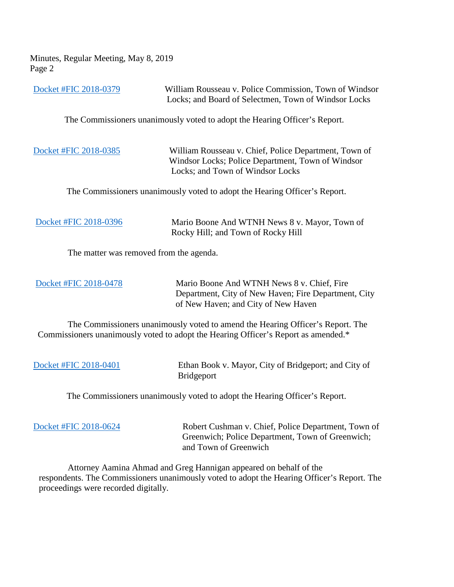Minutes, Regular Meeting, May 8, 2019 Page 2

[Docket #FIC 2018-0379](https://www.ct.gov/foi/lib/foi/minutes/2019/may8/2018-0379.pdf) William Rousseau v. Police Commission, Town of Windsor Locks; and Board of Selectmen, Town of Windsor Locks

The Commissioners unanimously voted to adopt the Hearing Officer's Report.

[Docket #FIC 2018-0385](https://www.ct.gov/foi/lib/foi/minutes/2019/may8/2018-0385.pdf) William Rousseau v. Chief, Police Department, Town of Windsor Locks; Police Department, Town of Windsor Locks; and Town of Windsor Locks

The Commissioners unanimously voted to adopt the Hearing Officer's Report.

| Docket #FIC 2018-0396 |  |
|-----------------------|--|
|                       |  |

ario Boone And WTNH News 8 v. Mayor, Town of Rocky Hill; and Town of Rocky Hill

The matter was removed from the agenda.

 [Docket #FIC 2018-0478](https://www.ct.gov/foi/lib/foi/minutes/2019/may8/2018-0478.pdf) Mario Boone And WTNH News 8 v. Chief, Fire Department, City of New Haven; Fire Department, City of New Haven; and City of New Haven

 The Commissioners unanimously voted to amend the Hearing Officer's Report. The Commissioners unanimously voted to adopt the Hearing Officer's Report as amended.\*

[Docket #FIC 2018-0401](https://www.ct.gov/foi/lib/foi/minutes/2019/may8/2018-0401.pdf) Ethan Book v. Mayor, City of Bridgeport; and City of Bridgeport

The Commissioners unanimously voted to adopt the Hearing Officer's Report.

[Docket #FIC 2018-0624](https://www.ct.gov/foi/lib/foi/minutes/2019/may8/2018-0624.pdf) Robert Cushman v. Chief, Police Department, Town of Greenwich; Police Department, Town of Greenwich; and Town of Greenwich

 Attorney Aamina Ahmad and Greg Hannigan appeared on behalf of the respondents. The Commissioners unanimously voted to adopt the Hearing Officer's Report. The proceedings were recorded digitally.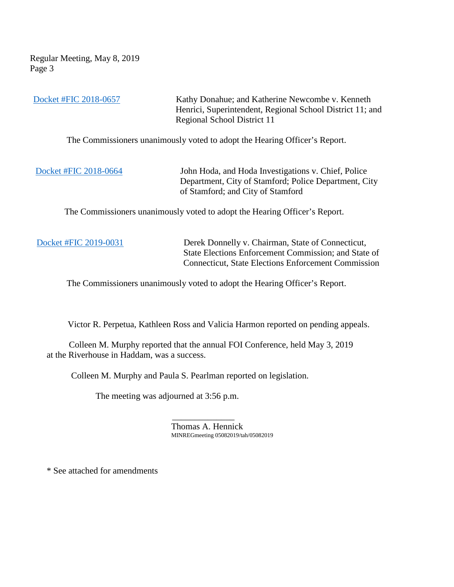Regular Meeting, May 8, 2019 Page 3

[Docket #FIC 2018-0657](https://www.ct.gov/foi/lib/foi/minutes/2019/may8/2018-0657.pdf) Kathy Donahue; and Katherine Newcombe v. Kenneth Henrici, Superintendent, Regional School District 11; and Regional School District 11

The Commissioners unanimously voted to adopt the Hearing Officer's Report.

[Docket #FIC 2018-0664](https://www.ct.gov/foi/lib/foi/minutes/2019/may8/2018-0664.pdf) John Hoda, and Hoda Investigations v. Chief, Police Department, City of Stamford; Police Department, City of Stamford; and City of Stamford

The Commissioners unanimously voted to adopt the Hearing Officer's Report.

[Docket #FIC 2019-0031](https://www.ct.gov/foi/lib/foi/minutes/2019/may8/2019-0031.pdf) Derek Donnelly v. Chairman, State of Connecticut, State Elections Enforcement Commission; and State of Connecticut, State Elections Enforcement Commission

The Commissioners unanimously voted to adopt the Hearing Officer's Report.

Victor R. Perpetua, Kathleen Ross and Valicia Harmon reported on pending appeals.

 Colleen M. Murphy reported that the annual FOI Conference, held May 3, 2019 at the Riverhouse in Haddam, was a success.

Colleen M. Murphy and Paula S. Pearlman reported on legislation.

The meeting was adjourned at 3:56 p.m.

 $\mathcal{L}_\text{max}$  , which is a set of the set of the set of the set of the set of the set of the set of the set of the set of the set of the set of the set of the set of the set of the set of the set of the set of the set of Thomas A. Hennick MINREGmeeting 05082019/tah/05082019

\* See attached for amendments